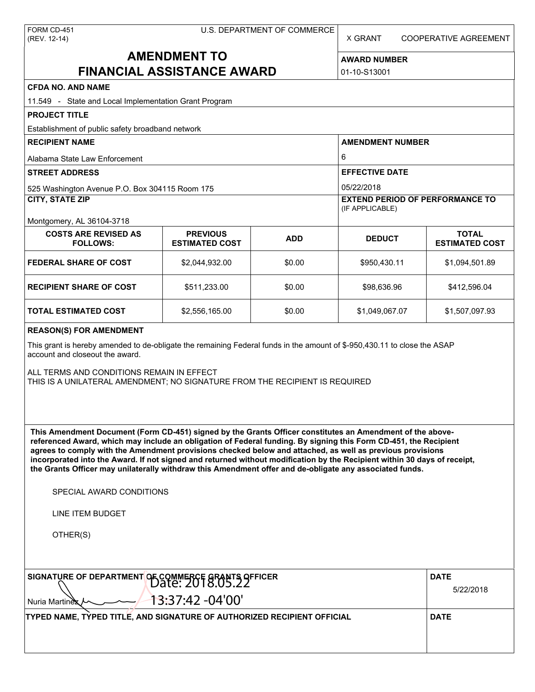X GRANT COOPERATIVE AGREEMENT

# **AMENDMENT TO FINANCIAL ASSISTANCE AWARD**

**AWARD NUMBER** 01-10-S13001

| <b>CFDA NO. AND NAME</b>                                                                                                                                                                                                                                                                                                                                                                                                                                                                                                                                                          |                                          |                       |                                                           |                                       |  |  |  |
|-----------------------------------------------------------------------------------------------------------------------------------------------------------------------------------------------------------------------------------------------------------------------------------------------------------------------------------------------------------------------------------------------------------------------------------------------------------------------------------------------------------------------------------------------------------------------------------|------------------------------------------|-----------------------|-----------------------------------------------------------|---------------------------------------|--|--|--|
| 11.549 - State and Local Implementation Grant Program                                                                                                                                                                                                                                                                                                                                                                                                                                                                                                                             |                                          |                       |                                                           |                                       |  |  |  |
| <b>PROJECT TITLE</b>                                                                                                                                                                                                                                                                                                                                                                                                                                                                                                                                                              |                                          |                       |                                                           |                                       |  |  |  |
| Establishment of public safety broadband network                                                                                                                                                                                                                                                                                                                                                                                                                                                                                                                                  |                                          |                       |                                                           |                                       |  |  |  |
| <b>RECIPIENT NAME</b>                                                                                                                                                                                                                                                                                                                                                                                                                                                                                                                                                             |                                          |                       | <b>AMENDMENT NUMBER</b>                                   |                                       |  |  |  |
| Alabama State Law Enforcement                                                                                                                                                                                                                                                                                                                                                                                                                                                                                                                                                     |                                          |                       | 6                                                         |                                       |  |  |  |
| <b>STREET ADDRESS</b>                                                                                                                                                                                                                                                                                                                                                                                                                                                                                                                                                             |                                          | <b>EFFECTIVE DATE</b> |                                                           |                                       |  |  |  |
| 525 Washington Avenue P.O. Box 304115 Room 175                                                                                                                                                                                                                                                                                                                                                                                                                                                                                                                                    |                                          |                       | 05/22/2018                                                |                                       |  |  |  |
| <b>CITY, STATE ZIP</b>                                                                                                                                                                                                                                                                                                                                                                                                                                                                                                                                                            |                                          |                       | <b>EXTEND PERIOD OF PERFORMANCE TO</b><br>(IF APPLICABLE) |                                       |  |  |  |
| Montgomery, AL 36104-3718                                                                                                                                                                                                                                                                                                                                                                                                                                                                                                                                                         |                                          |                       |                                                           |                                       |  |  |  |
| <b>COSTS ARE REVISED AS</b><br><b>FOLLOWS:</b>                                                                                                                                                                                                                                                                                                                                                                                                                                                                                                                                    | <b>PREVIOUS</b><br><b>ESTIMATED COST</b> | <b>ADD</b>            | <b>DEDUCT</b>                                             | <b>TOTAL</b><br><b>ESTIMATED COST</b> |  |  |  |
| FEDERAL SHARE OF COST                                                                                                                                                                                                                                                                                                                                                                                                                                                                                                                                                             | \$2,044,932.00                           | \$0.00                | \$950,430.11                                              | \$1,094,501.89                        |  |  |  |
| <b>RECIPIENT SHARE OF COST</b>                                                                                                                                                                                                                                                                                                                                                                                                                                                                                                                                                    | \$511,233.00                             | \$0.00                | \$98,636.96                                               | \$412,596.04                          |  |  |  |
| TOTAL ESTIMATED COST                                                                                                                                                                                                                                                                                                                                                                                                                                                                                                                                                              | \$2,556,165.00                           | \$0.00                | \$1,049,067.07                                            | \$1,507,097.93                        |  |  |  |
| <b>REASON(S) FOR AMENDMENT</b>                                                                                                                                                                                                                                                                                                                                                                                                                                                                                                                                                    |                                          |                       |                                                           |                                       |  |  |  |
| This grant is hereby amended to de-obligate the remaining Federal funds in the amount of \$-950,430.11 to close the ASAP<br>account and closeout the award.<br>ALL TERMS AND CONDITIONS REMAIN IN EFFECT<br>THIS IS A UNILATERAL AMENDMENT; NO SIGNATURE FROM THE RECIPIENT IS REQUIRED                                                                                                                                                                                                                                                                                           |                                          |                       |                                                           |                                       |  |  |  |
| This Amendment Document (Form CD-451) signed by the Grants Officer constitutes an Amendment of the above-<br>referenced Award, which may include an obligation of Federal funding. By signing this Form CD-451, the Recipient<br>agrees to comply with the Amendment provisions checked below and attached, as well as previous provisions<br>incorporated into the Award. If not signed and returned without modification by the Recipient within 30 days of receipt,<br>the Grants Officer may unilaterally withdraw this Amendment offer and de-obligate any associated funds. |                                          |                       |                                                           |                                       |  |  |  |
| SPECIAL AWARD CONDITIONS                                                                                                                                                                                                                                                                                                                                                                                                                                                                                                                                                          |                                          |                       |                                                           |                                       |  |  |  |
| LINE ITEM BUDGET                                                                                                                                                                                                                                                                                                                                                                                                                                                                                                                                                                  |                                          |                       |                                                           |                                       |  |  |  |
| OTHER(S)                                                                                                                                                                                                                                                                                                                                                                                                                                                                                                                                                                          |                                          |                       |                                                           |                                       |  |  |  |
| SIGNATURE OF DEPARTMENT OF COMMERCE GRANTS OFFICER                                                                                                                                                                                                                                                                                                                                                                                                                                                                                                                                | <b>DATE</b><br>5/22/2018                 |                       |                                                           |                                       |  |  |  |
| Nuria Martinex                                                                                                                                                                                                                                                                                                                                                                                                                                                                                                                                                                    | 13:37:42 -04'00'                         |                       |                                                           |                                       |  |  |  |
| TYPED NAME, TYPED TITLE, AND SIGNATURE OF AUTHORIZED RECIPIENT OFFICIAL                                                                                                                                                                                                                                                                                                                                                                                                                                                                                                           |                                          |                       |                                                           | <b>DATE</b>                           |  |  |  |